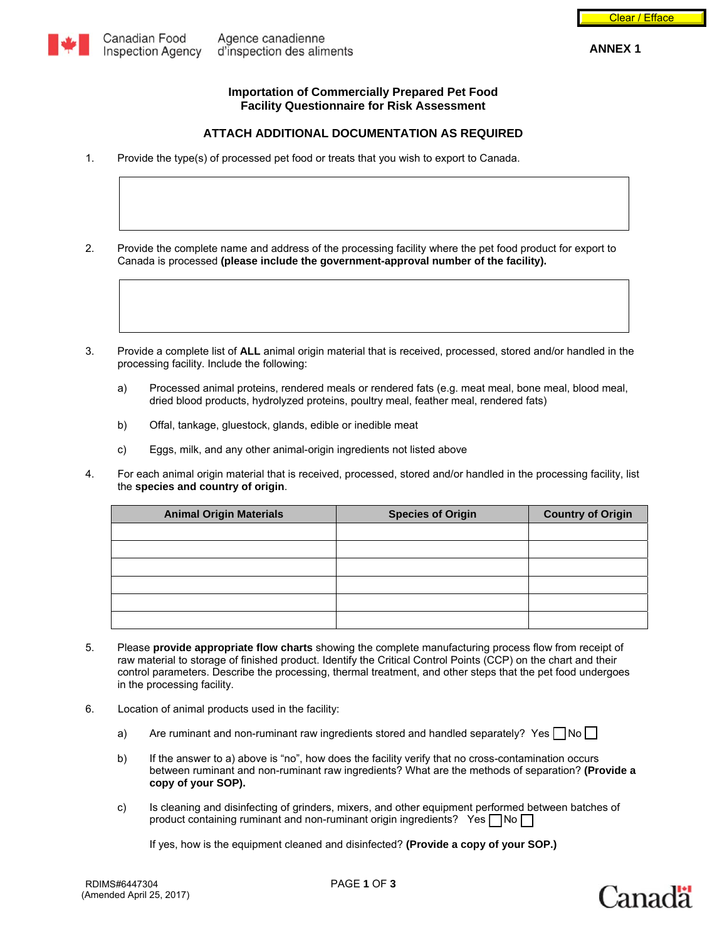

## **Importation of Commercially Prepared Pet Food Facility Questionnaire for Risk Assessment**

# **ATTACH ADDITIONAL DOCUMENTATION AS REQUIRED**

1. Provide the type(s) of processed pet food or treats that you wish to export to Canada.

2. Provide the complete name and address of the processing facility where the pet food product for export to Canada is processed **(please include the government-approval number of the facility).** 

3. Provide a complete list of **ALL** animal origin material that is received, processed, stored and/or handled in the processing facility. Include the following:

- a) Processed animal proteins, rendered meals or rendered fats (e.g. meat meal, bone meal, blood meal, dried blood products, hydrolyzed proteins, poultry meal, feather meal, rendered fats)
- b) Offal, tankage, gluestock, glands, edible or inedible meat
- c) Eggs, milk, and any other animal-origin ingredients not listed above
- 4. For each animal origin material that is received, processed, stored and/or handled in the processing facility, list the **species and country of origin**.

| <b>Animal Origin Materials</b> | <b>Species of Origin</b> | <b>Country of Origin</b> |
|--------------------------------|--------------------------|--------------------------|
|                                |                          |                          |
|                                |                          |                          |
|                                |                          |                          |
|                                |                          |                          |
|                                |                          |                          |
|                                |                          |                          |

- 5. Please **provide appropriate flow charts** showing the complete manufacturing process flow from receipt of raw material to storage of finished product. Identify the Critical Control Points (CCP) on the chart and their control parameters. Describe the processing, thermal treatment, and other steps that the pet food undergoes in the processing facility.
- 6. Location of animal products used in the facility:
	- a) Are ruminant and non-ruminant raw ingredients stored and handled separately? Yes  $\Box$  No  $\Box$
	- b) If the answer to a) above is "no", how does the facility verify that no cross-contamination occurs between ruminant and non-ruminant raw ingredients? What are the methods of separation? **(Provide a copy of your SOP).**
	- c) Is cleaning and disinfecting of grinders, mixers, and other equipment performed between batches of product containing ruminant and non-ruminant origin ingredients? Yes  $\neg$  No  $\neg$

If yes, how is the equipment cleaned and disinfected? **(Provide a copy of your SOP.)**

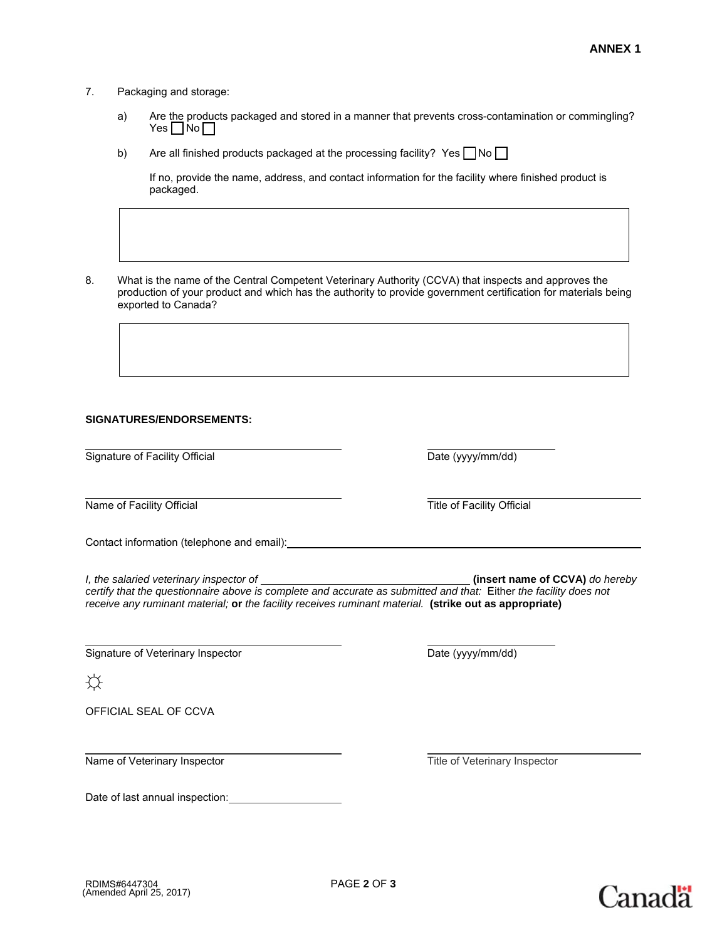## 7. Packaging and storage:

- a) Are the products packaged and stored in a manner that prevents cross-contamination or commingling?  $Yes \Box No \Box$
- b) Are all finished products packaged at the processing facility? Yes  $\neg$  No  $\neg$

If no, provide the name, address, and contact information for the facility where finished product is packaged.

8. What is the name of the Central Competent Veterinary Authority (CCVA) that inspects and approves the production of your product and which has the authority to provide government certification for materials being exported to Canada?

#### **SIGNATURES/ENDORSEMENTS:**

Signature of Facility Official Date (yyyy/mm/dd)

 $\overline{a}$ Name of Facility Official **Title of Facility Official** Title of Facility Official

Contact information (telephone and email):

*I, the salaried veterinary inspector of (insert name of CCVA) do hereby* **(insert name of CCVA)** *do hereby certify that the questionnaire above is complete and accurate as submitted and that:* Either *the facility does not receive any ruminant material;* **or** *the facility receives ruminant material.* **(strike out as appropriate)**

 $\overline{a}$ Signature of Veterinary Inspector **Date (by Signature of Veterinary Inspector** Date (yyyy/mm/dd)

☼

 $\overline{a}$ 

 $\overline{a}$ 

OFFICIAL SEAL OF CCVA

Name of Veterinary Inspector Title of Veterinary Inspector Title of Veterinary Inspector

Date of last annual inspection: